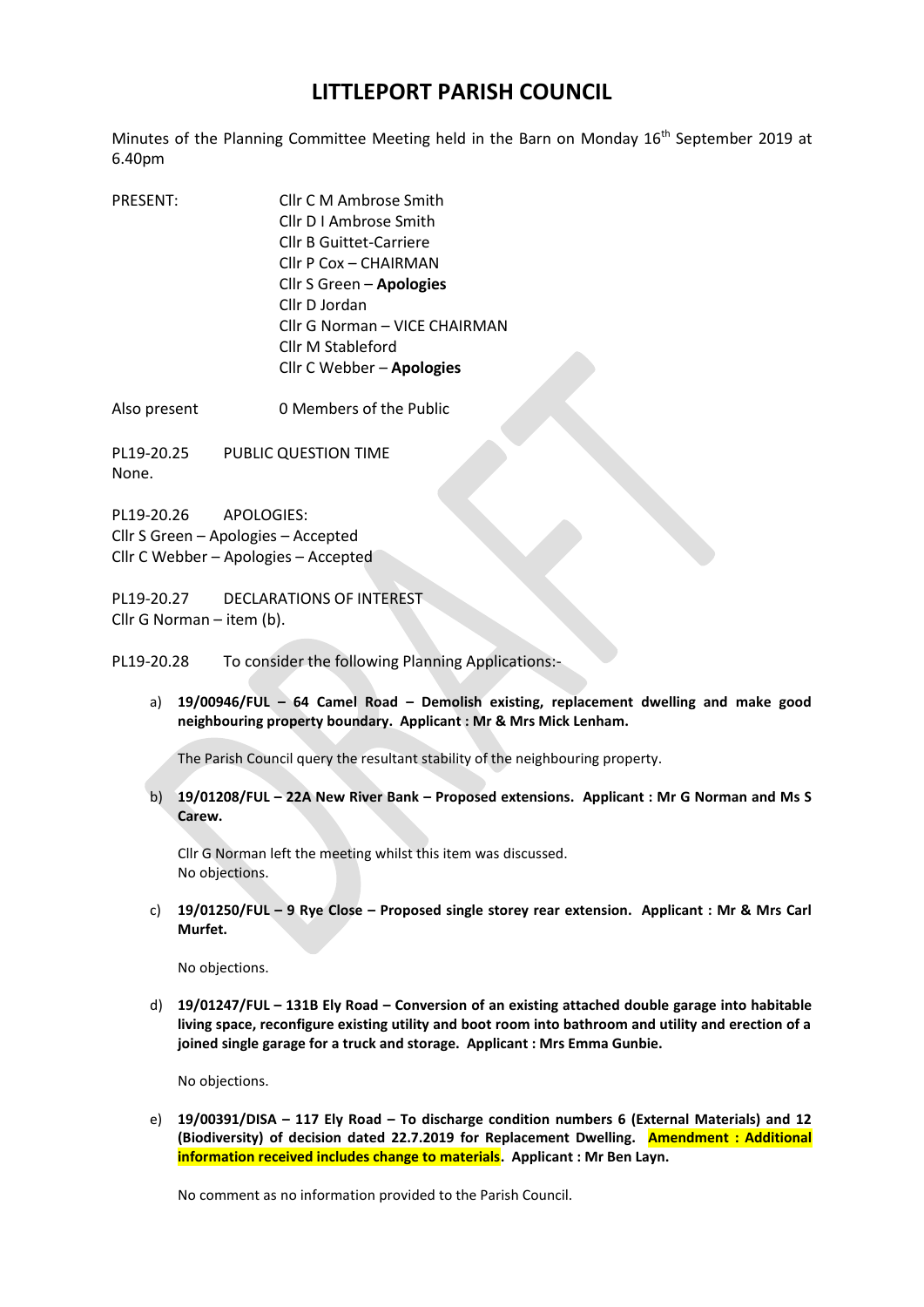## **LITTLEPORT PARISH COUNCIL**

Minutes of the Planning Committee Meeting held in the Barn on Monday 16<sup>th</sup> September 2019 at 6.40pm

PRESENT: Cllr C M Ambrose Smith Cllr D I Ambrose Smith Cllr B Guittet-Carriere Cllr P Cox – CHAIRMAN Cllr S Green – **Apologies** Cllr D Jordan Cllr G Norman – VICE CHAIRMAN Cllr M Stableford Cllr C Webber – **Apologies**

Also present 0 Members of the Public

PL19-20.25 PUBLIC QUESTION TIME None.

PL19-20.26 APOLOGIES: Cllr S Green – Apologies – Accepted Cllr C Webber – Apologies – Accepted

PL19-20.27 DECLARATIONS OF INTEREST Cllr G Norman – item (b).

PL19-20.28 To consider the following Planning Applications:-

a) **19/00946/FUL – 64 Camel Road – Demolish existing, replacement dwelling and make good neighbouring property boundary. Applicant : Mr & Mrs Mick Lenham.**

The Parish Council query the resultant stability of the neighbouring property.

b) **19/01208/FUL – 22A New River Bank – Proposed extensions. Applicant : Mr G Norman and Ms S Carew.**

Cllr G Norman left the meeting whilst this item was discussed. No objections.

c) **19/01250/FUL – 9 Rye Close – Proposed single storey rear extension. Applicant : Mr & Mrs Carl Murfet.**

No objections.

d) **19/01247/FUL – 131B Ely Road – Conversion of an existing attached double garage into habitable living space, reconfigure existing utility and boot room into bathroom and utility and erection of a joined single garage for a truck and storage. Applicant : Mrs Emma Gunbie.**

No objections.

e) **19/00391/DISA – 117 Ely Road – To discharge condition numbers 6 (External Materials) and 12 (Biodiversity) of decision dated 22.7.2019 for Replacement Dwelling. Amendment : Additional information received includes change to materials. Applicant : Mr Ben Layn.**

No comment as no information provided to the Parish Council.